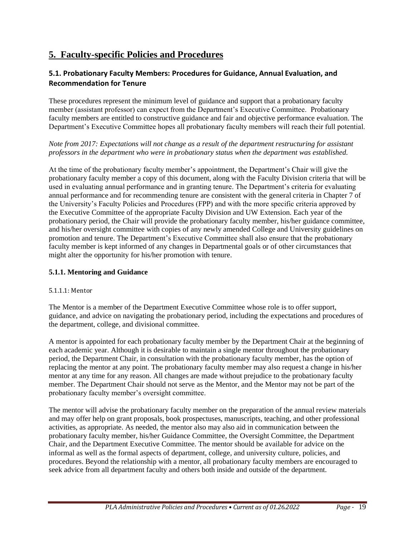# **5. Faculty-specific Policies and Procedures**

## **5.1. Probationary Faculty Members: Procedures for Guidance, Annual Evaluation, and Recommendation for Tenure**

These procedures represent the minimum level of guidance and support that a probationary faculty member (assistant professor) can expect from the Department's Executive Committee. Probationary faculty members are entitled to constructive guidance and fair and objective performance evaluation. The Department's Executive Committee hopes all probationary faculty members will reach their full potential.

*Note from 2017: Expectations will not change as a result of the department restructuring for assistant professors in the department who were in probationary status when the department was established.*

At the time of the probationary faculty member's appointment, the Department's Chair will give the probationary faculty member a copy of this document, along with the Faculty Division criteria that will be used in evaluating annual performance and in granting tenure. The Department's criteria for evaluating annual performance and for recommending tenure are consistent with the general criteria in Chapter 7 of the University's Faculty Policies and Procedures (FPP) and with the more specific criteria approved by the Executive Committee of the appropriate Faculty Division and UW Extension. Each year of the probationary period, the Chair will provide the probationary faculty member, his/her guidance committee, and his/her oversight committee with copies of any newly amended College and University guidelines on promotion and tenure. The Department's Executive Committee shall also ensure that the probationary faculty member is kept informed of any changes in Departmental goals or of other circumstances that might alter the opportunity for his/her promotion with tenure.

### **5.1.1. Mentoring and Guidance**

### 5.1.1.1: Mentor

The Mentor is a member of the Department Executive Committee whose role is to offer support, guidance, and advice on navigating the probationary period, including the expectations and procedures of the department, college, and divisional committee.

A mentor is appointed for each probationary faculty member by the Department Chair at the beginning of each academic year. Although it is desirable to maintain a single mentor throughout the probationary period, the Department Chair, in consultation with the probationary faculty member, has the option of replacing the mentor at any point. The probationary faculty member may also request a change in his/her mentor at any time for any reason. All changes are made without prejudice to the probationary faculty member. The Department Chair should not serve as the Mentor, and the Mentor may not be part of the probationary faculty member's oversight committee.

The mentor will advise the probationary faculty member on the preparation of the annual review materials and may offer help on grant proposals, book prospectuses, manuscripts, teaching, and other professional activities, as appropriate. As needed, the mentor also may also aid in communication between the probationary faculty member, his/her Guidance Committee, the Oversight Committee, the Department Chair, and the Department Executive Committee. The mentor should be available for advice on the informal as well as the formal aspects of department, college, and university culture, policies, and procedures. Beyond the relationship with a mentor, all probationary faculty members are encouraged to seek advice from all department faculty and others both inside and outside of the department.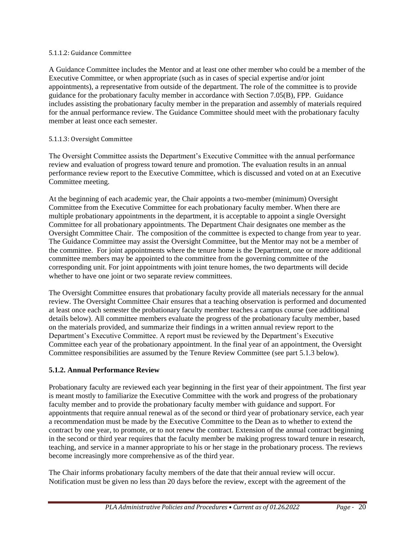#### 5.1.1.2: Guidance Committee

A Guidance Committee includes the Mentor and at least one other member who could be a member of the Executive Committee, or when appropriate (such as in cases of special expertise and/or joint appointments), a representative from outside of the department. The role of the committee is to provide guidance for the probationary faculty member in accordance with Section 7.05(B), FPP. Guidance includes assisting the probationary faculty member in the preparation and assembly of materials required for the annual performance review. The Guidance Committee should meet with the probationary faculty member at least once each semester.

### 5.1.1.3: Oversight Committee

The Oversight Committee assists the Department's Executive Committee with the annual performance review and evaluation of progress toward tenure and promotion. The evaluation results in an annual performance review report to the Executive Committee, which is discussed and voted on at an Executive Committee meeting.

At the beginning of each academic year, the Chair appoints a two-member (minimum) Oversight Committee from the Executive Committee for each probationary faculty member. When there are multiple probationary appointments in the department, it is acceptable to appoint a single Oversight Committee for all probationary appointments. The Department Chair designates one member as the Oversight Committee Chair. The composition of the committee is expected to change from year to year. The Guidance Committee may assist the Oversight Committee, but the Mentor may not be a member of the committee. For joint appointments where the tenure home is the Department, one or more additional committee members may be appointed to the committee from the governing committee of the corresponding unit. For joint appointments with joint tenure homes, the two departments will decide whether to have one joint or two separate review committees.

The Oversight Committee ensures that probationary faculty provide all materials necessary for the annual review. The Oversight Committee Chair ensures that a teaching observation is performed and documented at least once each semester the probationary faculty member teaches a campus course (see additional details below). All committee members evaluate the progress of the probationary faculty member, based on the materials provided, and summarize their findings in a written annual review report to the Department's Executive Committee. A report must be reviewed by the Department's Executive Committee each year of the probationary appointment. In the final year of an appointment, the Oversight Committee responsibilities are assumed by the Tenure Review Committee (see part 5.1.3 below).

### **5.1.2. Annual Performance Review**

Probationary faculty are reviewed each year beginning in the first year of their appointment. The first year is meant mostly to familiarize the Executive Committee with the work and progress of the probationary faculty member and to provide the probationary faculty member with guidance and support. For appointments that require annual renewal as of the second or third year of probationary service, each year a recommendation must be made by the Executive Committee to the Dean as to whether to extend the contract by one year, to promote, or to not renew the contract. Extension of the annual contract beginning in the second or third year requires that the faculty member be making progress toward tenure in research, teaching, and service in a manner appropriate to his or her stage in the probationary process. The reviews become increasingly more comprehensive as of the third year.

The Chair informs probationary faculty members of the date that their annual review will occur. Notification must be given no less than 20 days before the review, except with the agreement of the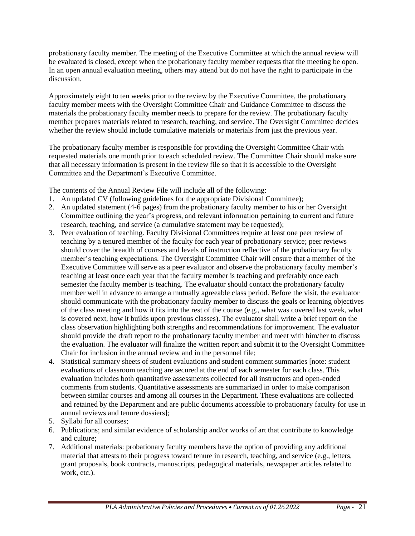probationary faculty member. The meeting of the Executive Committee at which the annual review will be evaluated is closed, except when the probationary faculty member requests that the meeting be open. In an open annual evaluation meeting, others may attend but do not have the right to participate in the discussion.

Approximately eight to ten weeks prior to the review by the Executive Committee, the probationary faculty member meets with the Oversight Committee Chair and Guidance Committee to discuss the materials the probationary faculty member needs to prepare for the review. The probationary faculty member prepares materials related to research, teaching, and service. The Oversight Committee decides whether the review should include cumulative materials or materials from just the previous year.

The probationary faculty member is responsible for providing the Oversight Committee Chair with requested materials one month prior to each scheduled review. The Committee Chair should make sure that all necessary information is present in the review file so that it is accessible to the Oversight Committee and the Department's Executive Committee.

The contents of the Annual Review File will include all of the following:

- 1. An updated CV (following guidelines for the appropriate Divisional Committee);
- 2. An updated statement (4-6 pages) from the probationary faculty member to his or her Oversight Committee outlining the year's progress, and relevant information pertaining to current and future research, teaching, and service (a cumulative statement may be requested);
- 3. Peer evaluation of teaching. Faculty Divisional Committees require at least one peer review of teaching by a tenured member of the faculty for each year of probationary service; peer reviews should cover the breadth of courses and levels of instruction reflective of the probationary faculty member's teaching expectations. The Oversight Committee Chair will ensure that a member of the Executive Committee will serve as a peer evaluator and observe the probationary faculty member's teaching at least once each year that the faculty member is teaching and preferably once each semester the faculty member is teaching. The evaluator should contact the probationary faculty member well in advance to arrange a mutually agreeable class period. Before the visit, the evaluator should communicate with the probationary faculty member to discuss the goals or learning objectives of the class meeting and how it fits into the rest of the course (e.g., what was covered last week, what is covered next, how it builds upon previous classes). The evaluator shall write a brief report on the class observation highlighting both strengths and recommendations for improvement. The evaluator should provide the draft report to the probationary faculty member and meet with him/her to discuss the evaluation. The evaluator will finalize the written report and submit it to the Oversight Committee Chair for inclusion in the annual review and in the personnel file;
- 4. Statistical summary sheets of student evaluations and student comment summaries [note: student evaluations of classroom teaching are secured at the end of each semester for each class. This evaluation includes both quantitative assessments collected for all instructors and open-ended comments from students. Quantitative assessments are summarized in order to make comparison between similar courses and among all courses in the Department. These evaluations are collected and retained by the Department and are public documents accessible to probationary faculty for use in annual reviews and tenure dossiers];
- 5. Syllabi for all courses;
- 6. Publications; and similar evidence of scholarship and/or works of art that contribute to knowledge and culture;
- 7. Additional materials: probationary faculty members have the option of providing any additional material that attests to their progress toward tenure in research, teaching, and service (e.g., letters, grant proposals, book contracts, manuscripts, pedagogical materials, newspaper articles related to work, etc.).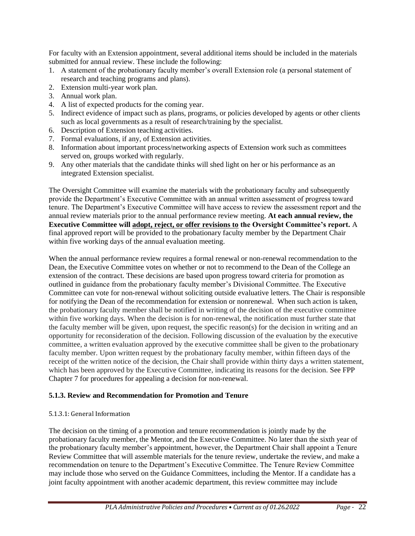For faculty with an Extension appointment, several additional items should be included in the materials submitted for annual review. These include the following:

- 1. A statement of the probationary faculty member's overall Extension role (a personal statement of research and teaching programs and plans).
- 2. Extension multi-year work plan.
- 3. Annual work plan.
- 4. A list of expected products for the coming year.
- 5. Indirect evidence of impact such as plans, programs, or policies developed by agents or other clients such as local governments as a result of research/training by the specialist.
- 6. Description of Extension teaching activities.
- 7. Formal evaluations, if any, of Extension activities.
- 8. Information about important process/networking aspects of Extension work such as committees served on, groups worked with regularly.
- 9. Any other materials that the candidate thinks will shed light on her or his performance as an integrated Extension specialist.

The Oversight Committee will examine the materials with the probationary faculty and subsequently provide the Department's Executive Committee with an annual written assessment of progress toward tenure. The Department's Executive Committee will have access to review the assessment report and the annual review materials prior to the annual performance review meeting. **At each annual review, the Executive Committee will adopt, reject, or offer revisions to the Oversight Committee's report.** A final approved report will be provided to the probationary faculty member by the Department Chair within five working days of the annual evaluation meeting.

When the annual performance review requires a formal renewal or non-renewal recommendation to the Dean, the Executive Committee votes on whether or not to recommend to the Dean of the College an extension of the contract. These decisions are based upon progress toward criteria for promotion as outlined in guidance from the probationary faculty member's Divisional Committee. The Executive Committee can vote for non-renewal without soliciting outside evaluative letters. The Chair is responsible for notifying the Dean of the recommendation for extension or nonrenewal. When such action is taken, the probationary faculty member shall be notified in writing of the decision of the executive committee within five working days. When the decision is for non-renewal, the notification must further state that the faculty member will be given, upon request, the specific reason(s) for the decision in writing and an opportunity for reconsideration of the decision. Following discussion of the evaluation by the executive committee, a written evaluation approved by the executive committee shall be given to the probationary faculty member. Upon written request by the probationary faculty member, within fifteen days of the receipt of the written notice of the decision, the Chair shall provide within thirty days a written statement, which has been approved by the Executive Committee, indicating its reasons for the decision. See FPP Chapter 7 for procedures for appealing a decision for non-renewal.

### **5.1.3. Review and Recommendation for Promotion and Tenure**

### 5.1.3.1: General Information

The decision on the timing of a promotion and tenure recommendation is jointly made by the probationary faculty member, the Mentor, and the Executive Committee. No later than the sixth year of the probationary faculty member's appointment, however, the Department Chair shall appoint a Tenure Review Committee that will assemble materials for the tenure review, undertake the review, and make a recommendation on tenure to the Department's Executive Committee. The Tenure Review Committee may include those who served on the Guidance Committees, including the Mentor. If a candidate has a joint faculty appointment with another academic department, this review committee may include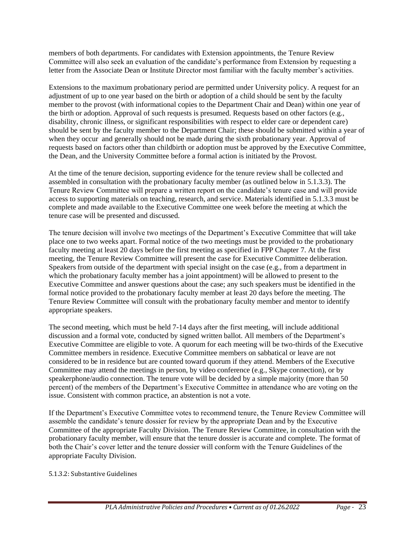members of both departments. For candidates with Extension appointments, the Tenure Review Committee will also seek an evaluation of the candidate's performance from Extension by requesting a letter from the Associate Dean or Institute Director most familiar with the faculty member's activities.

Extensions to the maximum probationary period are permitted under University policy. A request for an adjustment of up to one year based on the birth or adoption of a child should be sent by the faculty member to the provost (with informational copies to the Department Chair and Dean) within one year of the birth or adoption. Approval of such requests is presumed. Requests based on other factors (e.g., disability, chronic illness, or significant responsibilities with respect to elder care or dependent care) should be sent by the faculty member to the Department Chair; these should be submitted within a year of when they occur and generally should not be made during the sixth probationary year. Approval of requests based on factors other than childbirth or adoption must be approved by the Executive Committee, the Dean, and the University Committee before a formal action is initiated by the Provost.

At the time of the tenure decision, supporting evidence for the tenure review shall be collected and assembled in consultation with the probationary faculty member (as outlined below in 5.1.3.3). The Tenure Review Committee will prepare a written report on the candidate's tenure case and will provide access to supporting materials on teaching, research, and service. Materials identified in 5.1.3.3 must be complete and made available to the Executive Committee one week before the meeting at which the tenure case will be presented and discussed.

The tenure decision will involve two meetings of the Department's Executive Committee that will take place one to two weeks apart. Formal notice of the two meetings must be provided to the probationary faculty meeting at least 20 days before the first meeting as specified in FPP Chapter 7. At the first meeting, the Tenure Review Committee will present the case for Executive Committee deliberation. Speakers from outside of the department with special insight on the case (e.g., from a department in which the probationary faculty member has a joint appointment) will be allowed to present to the Executive Committee and answer questions about the case; any such speakers must be identified in the formal notice provided to the probationary faculty member at least 20 days before the meeting. The Tenure Review Committee will consult with the probationary faculty member and mentor to identify appropriate speakers.

The second meeting, which must be held 7-14 days after the first meeting, will include additional discussion and a formal vote, conducted by signed written ballot. All members of the Department's Executive Committee are eligible to vote. A quorum for each meeting will be two-thirds of the Executive Committee members in residence. Executive Committee members on sabbatical or leave are not considered to be in residence but are counted toward quorum if they attend. Members of the Executive Committee may attend the meetings in person, by video conference (e.g., Skype connection), or by speakerphone/audio connection. The tenure vote will be decided by a simple majority (more than 50 percent) of the members of the Department's Executive Committee in attendance who are voting on the issue. Consistent with common practice, an abstention is not a vote.

If the Department's Executive Committee votes to recommend tenure, the Tenure Review Committee will assemble the candidate's tenure dossier for review by the appropriate Dean and by the Executive Committee of the appropriate Faculty Division. The Tenure Review Committee, in consultation with the probationary faculty member, will ensure that the tenure dossier is accurate and complete. The format of both the Chair's cover letter and the tenure dossier will conform with the Tenure Guidelines of the appropriate Faculty Division.

### 5.1.3.2: Substantive Guidelines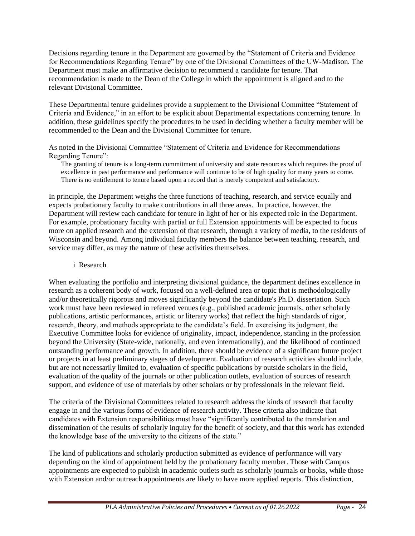Decisions regarding tenure in the Department are governed by the "Statement of Criteria and Evidence for Recommendations Regarding Tenure" by one of the Divisional Committees of the UW-Madison. The Department must make an affirmative decision to recommend a candidate for tenure. That recommendation is made to the Dean of the College in which the appointment is aligned and to the relevant Divisional Committee.

These Departmental tenure guidelines provide a supplement to the Divisional Committee "Statement of Criteria and Evidence," in an effort to be explicit about Departmental expectations concerning tenure. In addition, these guidelines specify the procedures to be used in deciding whether a faculty member will be recommended to the Dean and the Divisional Committee for tenure.

As noted in the Divisional Committee "Statement of Criteria and Evidence for Recommendations Regarding Tenure":

The granting of tenure is a long-term commitment of university and state resources which requires the proof of excellence in past performance and performance will continue to be of high quality for many years to come. There is no entitlement to tenure based upon a record that is merely competent and satisfactory.

In principle, the Department weighs the three functions of teaching, research, and service equally and expects probationary faculty to make contributions in all three areas. In practice, however, the Department will review each candidate for tenure in light of her or his expected role in the Department. For example, probationary faculty with partial or full Extension appointments will be expected to focus more on applied research and the extension of that research, through a variety of media, to the residents of Wisconsin and beyond. Among individual faculty members the balance between teaching, research, and service may differ, as may the nature of these activities themselves.

i Research

When evaluating the portfolio and interpreting divisional guidance, the department defines excellence in research as a coherent body of work, focused on a well-defined area or topic that is methodologically and/or theoretically rigorous and moves significantly beyond the candidate's Ph.D. dissertation. Such work must have been reviewed in refereed venues (e.g., published academic journals, other scholarly publications, artistic performances, artistic or literary works) that reflect the high standards of rigor, research, theory, and methods appropriate to the candidate's field. In exercising its judgment, the Executive Committee looks for evidence of originality, impact, independence, standing in the profession beyond the University (State-wide, nationally, and even internationally), and the likelihood of continued outstanding performance and growth. In addition, there should be evidence of a significant future project or projects in at least preliminary stages of development. Evaluation of research activities should include, but are not necessarily limited to, evaluation of specific publications by outside scholars in the field, evaluation of the quality of the journals or other publication outlets, evaluation of sources of research support, and evidence of use of materials by other scholars or by professionals in the relevant field.

The criteria of the Divisional Committees related to research address the kinds of research that faculty engage in and the various forms of evidence of research activity. These criteria also indicate that candidates with Extension responsibilities must have "significantly contributed to the translation and dissemination of the results of scholarly inquiry for the benefit of society, and that this work has extended the knowledge base of the university to the citizens of the state."

The kind of publications and scholarly production submitted as evidence of performance will vary depending on the kind of appointment held by the probationary faculty member. Those with Campus appointments are expected to publish in academic outlets such as scholarly journals or books, while those with Extension and/or outreach appointments are likely to have more applied reports. This distinction,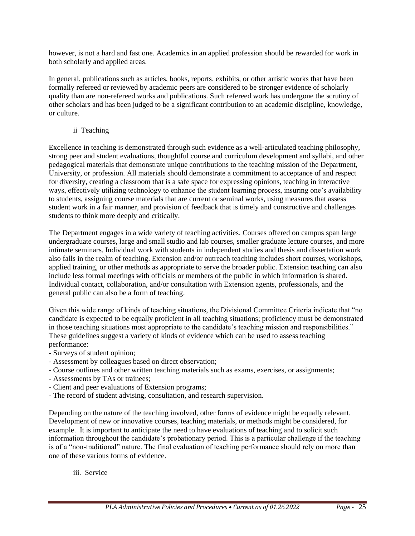however, is not a hard and fast one. Academics in an applied profession should be rewarded for work in both scholarly and applied areas.

In general, publications such as articles, books, reports, exhibits, or other artistic works that have been formally refereed or reviewed by academic peers are considered to be stronger evidence of scholarly quality than are non-refereed works and publications. Such refereed work has undergone the scrutiny of other scholars and has been judged to be a significant contribution to an academic discipline, knowledge, or culture.

### ii Teaching

Excellence in teaching is demonstrated through such evidence as a well-articulated teaching philosophy, strong peer and student evaluations, thoughtful course and curriculum development and syllabi, and other pedagogical materials that demonstrate unique contributions to the teaching mission of the Department, University, or profession. All materials should demonstrate a commitment to acceptance of and respect for diversity, creating a classroom that is a safe space for expressing opinions, teaching in interactive ways, effectively utilizing technology to enhance the student learning process, insuring one's availability to students, assigning course materials that are current or seminal works, using measures that assess student work in a fair manner, and provision of feedback that is timely and constructive and challenges students to think more deeply and critically.

The Department engages in a wide variety of teaching activities. Courses offered on campus span large undergraduate courses, large and small studio and lab courses, smaller graduate lecture courses, and more intimate seminars. Individual work with students in independent studies and thesis and dissertation work also falls in the realm of teaching. Extension and/or outreach teaching includes short courses, workshops, applied training, or other methods as appropriate to serve the broader public. Extension teaching can also include less formal meetings with officials or members of the public in which information is shared. Individual contact, collaboration, and/or consultation with Extension agents, professionals, and the general public can also be a form of teaching.

Given this wide range of kinds of teaching situations, the Divisional Committee Criteria indicate that "no candidate is expected to be equally proficient in all teaching situations; proficiency must be demonstrated in those teaching situations most appropriate to the candidate's teaching mission and responsibilities." These guidelines suggest a variety of kinds of evidence which can be used to assess teaching performance:

- Surveys of student opinion;
- Assessment by colleagues based on direct observation;
- Course outlines and other written teaching materials such as exams, exercises, or assignments;
- Assessments by TAs or trainees;
- Client and peer evaluations of Extension programs;
- The record of student advising, consultation, and research supervision.

Depending on the nature of the teaching involved, other forms of evidence might be equally relevant. Development of new or innovative courses, teaching materials, or methods might be considered, for example. It is important to anticipate the need to have evaluations of teaching and to solicit such information throughout the candidate's probationary period. This is a particular challenge if the teaching is of a "non-traditional" nature. The final evaluation of teaching performance should rely on more than one of these various forms of evidence.

iii. Service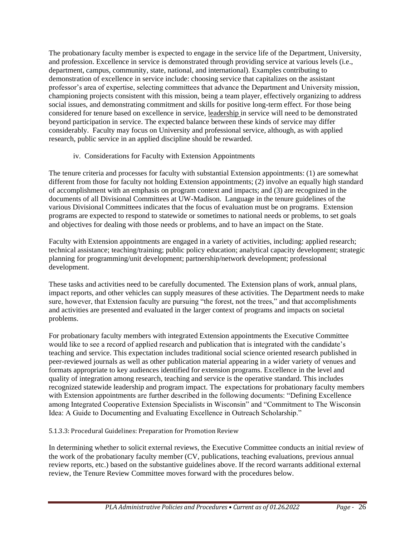The probationary faculty member is expected to engage in the service life of the Department, University, and profession. Excellence in service is demonstrated through providing service at various levels (i.e., department, campus, community, state, national, and international). Examples contributing to demonstration of excellence in service include: choosing service that capitalizes on the assistant professor's area of expertise, selecting committees that advance the Department and University mission, championing projects consistent with this mission, being a team player, effectively organizing to address social issues, and demonstrating commitment and skills for positive long-term effect. For those being considered for tenure based on excellence in service, leadership in service will need to be demonstrated beyond participation in service. The expected balance between these kinds of service may differ considerably. Faculty may focus on University and professional service, although, as with applied research, public service in an applied discipline should be rewarded.

### iv. Considerations for Faculty with Extension Appointments

The tenure criteria and processes for faculty with substantial Extension appointments: (1) are somewhat different from those for faculty not holding Extension appointments; (2) involve an equally high standard of accomplishment with an emphasis on program context and impacts; and (3) are recognized in the documents of all Divisional Committees at UW-Madison. Language in the tenure guidelines of the various Divisional Committees indicates that the focus of evaluation must be on programs. Extension programs are expected to respond to statewide or sometimes to national needs or problems, to set goals and objectives for dealing with those needs or problems, and to have an impact on the State.

Faculty with Extension appointments are engaged in a variety of activities, including: applied research; technical assistance; teaching/training; public policy education; analytical capacity development; strategic planning for programming/unit development; partnership/network development; professional development.

These tasks and activities need to be carefully documented. The Extension plans of work, annual plans, impact reports, and other vehicles can supply measures of these activities. The Department needs to make sure, however, that Extension faculty are pursuing "the forest, not the trees," and that accomplishments and activities are presented and evaluated in the larger context of programs and impacts on societal problems.

For probationary faculty members with integrated Extension appointments the Executive Committee would like to see a record of applied research and publication that is integrated with the candidate's teaching and service. This expectation includes traditional social science oriented research published in peer-reviewed journals as well as other publication material appearing in a wider variety of venues and formats appropriate to key audiences identified for extension programs. Excellence in the level and quality of integration among research, teaching and service is the operative standard. This includes recognized statewide leadership and program impact. The expectations for probationary faculty members with Extension appointments are further described in the following documents: "Defining Excellence among Integrated Cooperative Extension Specialists in Wisconsin" and "Commitment to The Wisconsin Idea: A Guide to Documenting and Evaluating Excellence in Outreach Scholarship."

5.1.3.3: Procedural Guidelines: Preparation for Promotion Review

In determining whether to solicit external reviews, the Executive Committee conducts an initial review of the work of the probationary faculty member (CV, publications, teaching evaluations, previous annual review reports, etc.) based on the substantive guidelines above. If the record warrants additional external review, the Tenure Review Committee moves forward with the procedures below.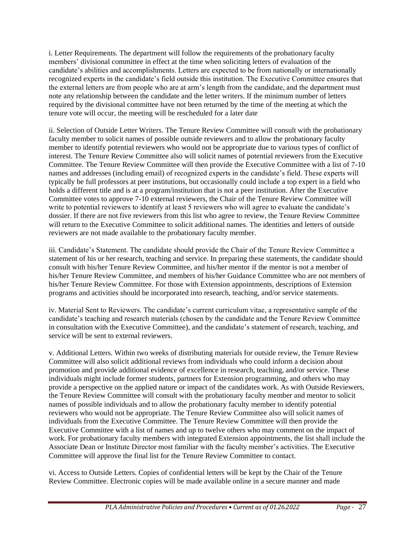i. Letter Requirements. The department will follow the requirements of the probationary faculty members' divisional committee in effect at the time when soliciting letters of evaluation of the candidate's abilities and accomplishments. Letters are expected to be from nationally or internationally recognized experts in the candidate's field outside this institution. The Executive Committee ensures that the external letters are from people who are at arm's length from the candidate, and the department must note any relationship between the candidate and the letter writers. If the minimum number of letters required by the divisional committee have not been returned by the time of the meeting at which the tenure vote will occur, the meeting will be rescheduled for a later date

ii. Selection of Outside Letter Writers. The Tenure Review Committee will consult with the probationary faculty member to solicit names of possible outside reviewers and to allow the probationary faculty member to identify potential reviewers who would not be appropriate due to various types of conflict of interest. The Tenure Review Committee also will solicit names of potential reviewers from the Executive Committee. The Tenure Review Committee will then provide the Executive Committee with a list of 7-10 names and addresses (including email) of recognized experts in the candidate's field. These experts will typically be full professors at peer institutions, but occasionally could include a top expert in a field who holds a different title and is at a program/institution that is not a peer institution. After the Executive Committee votes to approve 7-10 external reviewers, the Chair of the Tenure Review Committee will write to potential reviewers to identify at least 5 reviewers who will agree to evaluate the candidate's dossier. If there are not five reviewers from this list who agree to review, the Tenure Review Committee will return to the Executive Committee to solicit additional names. The identities and letters of outside reviewers are not made available to the probationary faculty member.

iii. Candidate's Statement. The candidate should provide the Chair of the Tenure Review Committee a statement of his or her research, teaching and service. In preparing these statements, the candidate should consult with his/her Tenure Review Committee, and his/her mentor if the mentor is not a member of his/her Tenure Review Committee, and members of his/her Guidance Committee who are not members of his/her Tenure Review Committee. For those with Extension appointments, descriptions of Extension programs and activities should be incorporated into research, teaching, and/or service statements.

iv. Material Sent to Reviewers. The candidate's current curriculum vitae, a representative sample of the candidate's teaching and research materials (chosen by the candidate and the Tenure Review Committee in consultation with the Executive Committee), and the candidate's statement of research, teaching, and service will be sent to external reviewers.

v. Additional Letters. Within two weeks of distributing materials for outside review, the Tenure Review Committee will also solicit additional reviews from individuals who could inform a decision about promotion and provide additional evidence of excellence in research, teaching, and/or service. These individuals might include former students, partners for Extension programming, and others who may provide a perspective on the applied nature or impact of the candidates work. As with Outside Reviewers, the Tenure Review Committee will consult with the probationary faculty member and mentor to solicit names of possible individuals and to allow the probationary faculty member to identify potential reviewers who would not be appropriate. The Tenure Review Committee also will solicit names of individuals from the Executive Committee. The Tenure Review Committee will then provide the Executive Committee with a list of names and up to twelve others who may comment on the impact of work. For probationary faculty members with integrated Extension appointments, the list shall include the Associate Dean or Institute Director most familiar with the faculty member's activities. The Executive Committee will approve the final list for the Tenure Review Committee to contact.

vi. Access to Outside Letters. Copies of confidential letters will be kept by the Chair of the Tenure Review Committee. Electronic copies will be made available online in a secure manner and made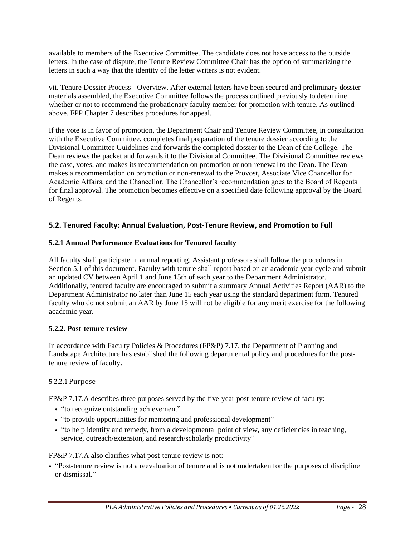available to members of the Executive Committee. The candidate does not have access to the outside letters. In the case of dispute, the Tenure Review Committee Chair has the option of summarizing the letters in such a way that the identity of the letter writers is not evident.

vii. Tenure Dossier Process - Overview. After external letters have been secured and preliminary dossier materials assembled, the Executive Committee follows the process outlined previously to determine whether or not to recommend the probationary faculty member for promotion with tenure. As outlined above, FPP Chapter 7 describes procedures for appeal.

If the vote is in favor of promotion, the Department Chair and Tenure Review Committee, in consultation with the Executive Committee, completes final preparation of the tenure dossier according to the Divisional Committee Guidelines and forwards the completed dossier to the Dean of the College. The Dean reviews the packet and forwards it to the Divisional Committee. The Divisional Committee reviews the case, votes, and makes its recommendation on promotion or non-renewal to the Dean. The Dean makes a recommendation on promotion or non-renewal to the Provost, Associate Vice Chancellor for Academic Affairs, and the Chancellor. The Chancellor's recommendation goes to the Board of Regents for final approval. The promotion becomes effective on a specified date following approval by the Board of Regents.

### **5.2. Tenured Faculty: Annual Evaluation, Post-Tenure Review, and Promotion to Full**

### **5.2.1 Annual Performance Evaluations for Tenured faculty**

All faculty shall participate in annual reporting. Assistant professors shall follow the procedures in Section 5.1 of this document. Faculty with tenure shall report based on an academic year cycle and submit an updated CV between April 1 and June 15th of each year to the Department Administrator. Additionally, tenured faculty are encouraged to submit a summary Annual Activities Report (AAR) to the Department Administrator no later than June 15 each year using the standard department form. Tenured faculty who do not submit an AAR by June 15 will not be eligible for any merit exercise for the following academic year.

### **5.2.2. Post-tenure review**

In accordance with Faculty Policies & Procedures (FP&P) 7.17, the Department of Planning and Landscape Architecture has established the following departmental policy and procedures for the posttenure review of faculty.

### 5.2.2.1 Purpose

FP&P 7.17.A describes three purposes served by the five-year post-tenure review of faculty:

- "to recognize outstanding achievement"
- "to provide opportunities for mentoring and professional development"
- "to help identify and remedy, from a developmental point of view, any deficiencies in teaching, service, outreach/extension, and research/scholarly productivity"

FP&P 7.17.A also clarifies what post-tenure review is not:

• "Post-tenure review is not a reevaluation of tenure and is not undertaken for the purposes of discipline or dismissal."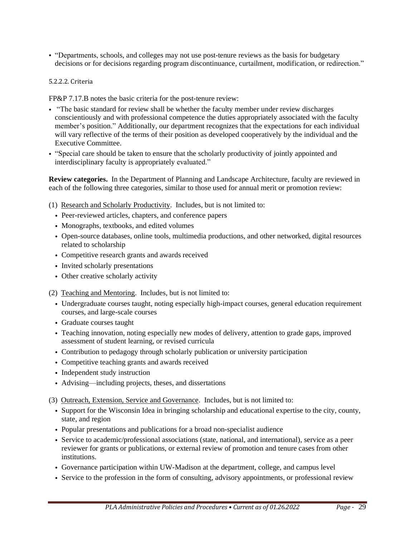• "Departments, schools, and colleges may not use post-tenure reviews as the basis for budgetary decisions or for decisions regarding program discontinuance, curtailment, modification, or redirection."

#### 5.2.2.2. Criteria

FP&P 7.17.B notes the basic criteria for the post-tenure review:

- "The basic standard for review shall be whether the faculty member under review discharges conscientiously and with professional competence the duties appropriately associated with the faculty member's position." Additionally, our department recognizes that the expectations for each individual will vary reflective of the terms of their position as developed cooperatively by the individual and the Executive Committee.
- "Special care should be taken to ensure that the scholarly productivity of jointly appointed and interdisciplinary faculty is appropriately evaluated."

**Review categories.** In the Department of Planning and Landscape Architecture, faculty are reviewed in each of the following three categories, similar to those used for annual merit or promotion review:

- (1) Research and Scholarly Productivity. Includes, but is not limited to:
	- Peer-reviewed articles, chapters, and conference papers
	- Monographs, textbooks, and edited volumes
	- Open-source databases, online tools, multimedia productions, and other networked, digital resources related to scholarship
	- Competitive research grants and awards received
	- Invited scholarly presentations
	- Other creative scholarly activity

(2) Teaching and Mentoring. Includes, but is not limited to:

- Undergraduate courses taught, noting especially high-impact courses, general education requirement courses, and large-scale courses
- Graduate courses taught
- Teaching innovation, noting especially new modes of delivery, attention to grade gaps, improved assessment of student learning, or revised curricula
- Contribution to pedagogy through scholarly publication or university participation
- Competitive teaching grants and awards received
- Independent study instruction
- Advising—including projects, theses, and dissertations
- (3) Outreach, Extension, Service and Governance. Includes, but is not limited to:
	- Support for the Wisconsin Idea in bringing scholarship and educational expertise to the city, county, state, and region
	- Popular presentations and publications for a broad non-specialist audience
	- Service to academic/professional associations (state, national, and international), service as a peer reviewer for grants or publications, or external review of promotion and tenure cases from other institutions.
	- Governance participation within UW-Madison at the department, college, and campus level
	- Service to the profession in the form of consulting, advisory appointments, or professional review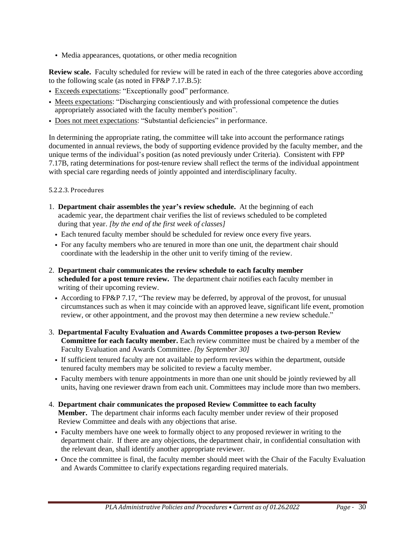• Media appearances, quotations, or other media recognition

**Review scale.** Faculty scheduled for review will be rated in each of the three categories above according to the following scale (as noted in FP&P 7.17.B.5):

- Exceeds expectations: "Exceptionally good" performance.
- Meets expectations: "Discharging conscientiously and with professional competence the duties appropriately associated with the faculty member's position".
- Does not meet expectations: "Substantial deficiencies" in performance.

In determining the appropriate rating, the committee will take into account the performance ratings documented in annual reviews, the body of supporting evidence provided by the faculty member, and the unique terms of the individual's position (as noted previously under Criteria). Consistent with FPP 7.17B, rating determinations for post-tenure review shall reflect the terms of the individual appointment with special care regarding needs of jointly appointed and interdisciplinary faculty.

#### 5.2.2.3. Procedures

- 1. **Department chair assembles the year's review schedule.** At the beginning of each academic year, the department chair verifies the list of reviews scheduled to be completed during that year. *[by the end of the first week of classes]*
	- Each tenured faculty member should be scheduled for review once every five years.
	- For any faculty members who are tenured in more than one unit, the department chair should coordinate with the leadership in the other unit to verify timing of the review.
- 2. **Department chair communicates the review schedule to each faculty member scheduled for a post tenure review.** The department chair notifies each faculty member in writing of their upcoming review.
	- According to FP&P 7.17, "The review may be deferred, by approval of the provost, for unusual circumstances such as when it may coincide with an approved leave, significant life event, promotion review, or other appointment, and the provost may then determine a new review schedule."
- 3. **Departmental Faculty Evaluation and Awards Committee proposes a two-person Review Committee for each faculty member.** Each review committee must be chaired by a member of the Faculty Evaluation and Awards Committee. *[by September 30]*
	- If sufficient tenured faculty are not available to perform reviews within the department, outside tenured faculty members may be solicited to review a faculty member.
	- Faculty members with tenure appointments in more than one unit should be jointly reviewed by all units, having one reviewer drawn from each unit. Committees may include more than two members.
- 4. **Department chair communicates the proposed Review Committee to each faculty Member.** The department chair informs each faculty member under review of their proposed Review Committee and deals with any objections that arise.
	- Faculty members have one week to formally object to any proposed reviewer in writing to the department chair. If there are any objections, the department chair, in confidential consultation with the relevant dean, shall identify another appropriate reviewer.
	- Once the committee is final, the faculty member should meet with the Chair of the Faculty Evaluation and Awards Committee to clarify expectations regarding required materials.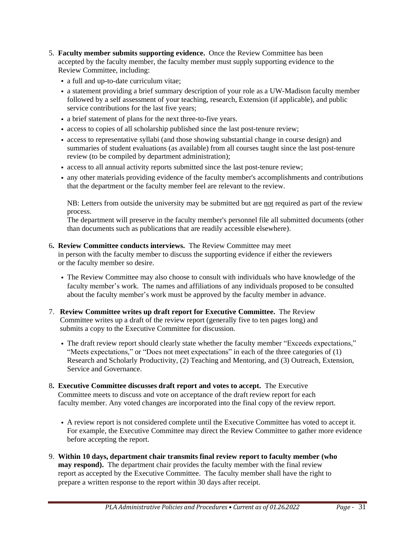- 5. **Faculty member submits supporting evidence.** Once the Review Committee has been accepted by the faculty member, the faculty member must supply supporting evidence to the Review Committee, including:
	- a full and up-to-date curriculum vitae;
	- a statement providing a brief summary description of your role as a UW-Madison faculty member followed by a self assessment of your teaching, research, Extension (if applicable), and public service contributions for the last five years;
	- a brief statement of plans for the next three-to-five years.
	- access to copies of all scholarship published since the last post-tenure review;
	- access to representative syllabi (and those showing substantial change in course design) and summaries of student evaluations (as available) from all courses taught since the last post-tenure review (to be compiled by department administration);
	- access to all annual activity reports submitted since the last post-tenure review;
	- any other materials providing evidence of the faculty member's accomplishments and contributions that the department or the faculty member feel are relevant to the review.

NB: Letters from outside the university may be submitted but are not required as part of the review process.

The department will preserve in the faculty member's personnel file all submitted documents (other than documents such as publications that are readily accessible elsewhere).

6**. Review Committee conducts interviews.** The Review Committee may meet

 in person with the faculty member to discuss the supporting evidence if either the reviewers or the faculty member so desire.

- The Review Committee may also choose to consult with individuals who have knowledge of the faculty member's work. The names and affiliations of any individuals proposed to be consulted about the faculty member's work must be approved by the faculty member in advance.
- 7. **Review Committee writes up draft report for Executive Committee.** The Review Committee writes up a draft of the review report (generally five to ten pages long) and submits a copy to the Executive Committee for discussion.
	- The draft review report should clearly state whether the faculty member "Exceeds expectations," "Meets expectations," or "Does not meet expectations" in each of the three categories of (1) Research and Scholarly Productivity, (2) Teaching and Mentoring, and (3) Outreach, Extension, Service and Governance.
- 8**. Executive Committee discusses draft report and votes to accept.** The Executive Committee meets to discuss and vote on acceptance of the draft review report for each faculty member. Any voted changes are incorporated into the final copy of the review report.
	- A review report is not considered complete until the Executive Committee has voted to accept it. For example, the Executive Committee may direct the Review Committee to gather more evidence before accepting the report.
- 9. **Within 10 days, department chair transmits final review report to faculty member (who may respond).** The department chair provides the faculty member with the final review report as accepted by the Executive Committee. The faculty member shall have the right to prepare a written response to the report within 30 days after receipt.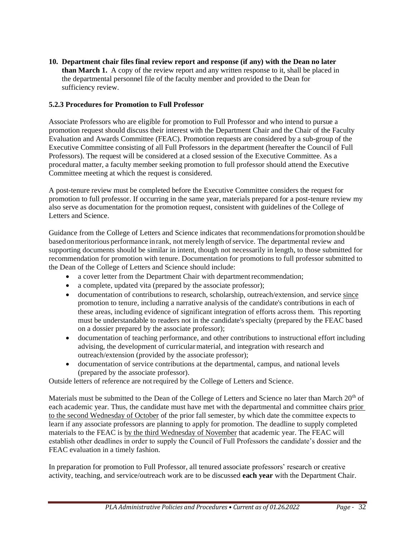**10. Department chair files final review report and response (if any) with the Dean no later than March 1.** A copy of the review report and any written response to it, shall be placed in the departmental personnel file of the faculty member and provided to the Dean for sufficiency review.

### **5.2.3 Procedures for Promotion to Full Professor**

Associate Professors who are eligible for promotion to Full Professor and who intend to pursue a promotion request should discuss their interest with the Department Chair and the Chair of the Faculty Evaluation and Awards Committee (FEAC). Promotion requests are considered by a sub-group of the Executive Committee consisting of all Full Professors in the department (hereafter the Council of Full Professors). The request will be considered at a closed session of the Executive Committee. As a procedural matter, a faculty member seeking promotion to full professor should attend the Executive Committee meeting at which the request is considered.

A post-tenure review must be completed before the Executive Committee considers the request for promotion to full professor. If occurring in the same year, materials prepared for a post-tenure review my also serve as documentation for the promotion request, consistent with guidelines of the College of Letters and Science.

Guidance from the College of Letters and Science indicates that recommendationsfor promotion should be basedonmeritorious performance inrank, not merely length ofservice. The departmental review and supporting documents should be similar in intent, though not necessarily in length, to those submitted for recommendation for promotion with tenure. Documentation for promotions to full professor submitted to the Dean of the College of Letters and Science should include:

- a cover letter from the Department Chair with department recommendation;
- a complete, updated vita (prepared by the associate professor);
- documentation of contributions to research, scholarship, outreach/extension, and service since promotion to tenure, including a narrative analysis of the candidate's contributions in each of these areas, including evidence of significant integration of efforts across them. This reporting must be understandable to readers not in the candidate's specialty (prepared by the FEAC based on a dossier prepared by the associate professor);
- documentation of teaching performance, and other contributions to instructional effort including advising, the development of curricularmaterial, and integration with research and outreach/extension (provided by the associate professor);
- documentation of service contributions at the departmental, campus, and national levels (prepared by the associate professor).

Outside letters of reference are notrequired by the College of Letters and Science.

Materials must be submitted to the Dean of the College of Letters and Science no later than March  $20<sup>th</sup>$  of each academic year. Thus, the candidate must have met with the departmental and committee chairs prior to the second Wednesday of October of the prior fall semester, by which date the committee expects to learn if any associate professors are planning to apply for promotion. The deadline to supply completed materials to the FEAC is by the third Wednesday of November that academic year. The FEAC will establish other deadlines in order to supply the Council of Full Professors the candidate's dossier and the FEAC evaluation in a timely fashion.

In preparation for promotion to Full Professor, all tenured associate professors' research or creative activity, teaching, and service/outreach work are to be discussed **each year** with the Department Chair.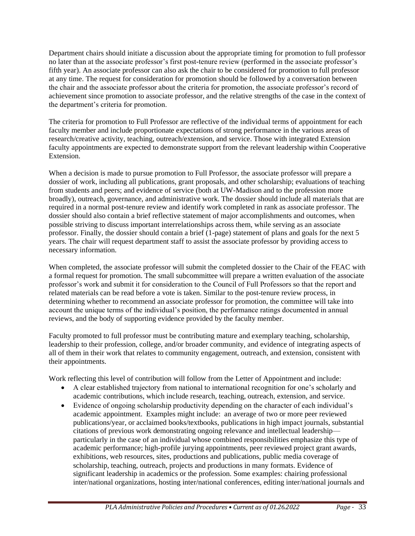Department chairs should initiate a discussion about the appropriate timing for promotion to full professor no later than at the associate professor's first post-tenure review (performed in the associate professor's fifth year). An associate professor can also ask the chair to be considered for promotion to full professor at any time. The request for consideration for promotion should be followed by a conversation between the chair and the associate professor about the criteria for promotion, the associate professor's record of achievement since promotion to associate professor, and the relative strengths of the case in the context of the department's criteria for promotion.

The criteria for promotion to Full Professor are reflective of the individual terms of appointment for each faculty member and include proportionate expectations of strong performance in the various areas of research/creative activity, teaching, outreach/extension, and service. Those with integrated Extension faculty appointments are expected to demonstrate support from the relevant leadership within Cooperative Extension.

When a decision is made to pursue promotion to Full Professor, the associate professor will prepare a dossier of work, including all publications, grant proposals, and other scholarship; evaluations of teaching from students and peers; and evidence of service (both at UW-Madison and to the profession more broadly), outreach, governance, and administrative work. The dossier should include all materials that are required in a normal post-tenure review and identify work completed in rank as associate professor. The dossier should also contain a brief reflective statement of major accomplishments and outcomes, when possible striving to discuss important interrelationships across them, while serving as an associate professor. Finally, the dossier should contain a brief (1-page) statement of plans and goals for the next 5 years. The chair will request department staff to assist the associate professor by providing access to necessary information.

When completed, the associate professor will submit the completed dossier to the Chair of the FEAC with a formal request for promotion. The small subcommittee will prepare a written evaluation of the associate professor's work and submit it for consideration to the Council of Full Professors so that the report and related materials can be read before a vote is taken. Similar to the post-tenure review process, in determining whether to recommend an associate professor for promotion, the committee will take into account the unique terms of the individual's position, the performance ratings documented in annual reviews, and the body of supporting evidence provided by the faculty member.

Faculty promoted to full professor must be contributing mature and exemplary teaching, scholarship, leadership to their profession, college, and/or broader community, and evidence of integrating aspects of all of them in their work that relates to community engagement, outreach, and extension, consistent with their appointments.

Work reflecting this level of contribution will follow from the Letter of Appointment and include:

- A clear established trajectory from national to international recognition for one's scholarly and academic contributions, which include research, teaching, outreach, extension, and service.
- Evidence of ongoing scholarship productivity depending on the character of each individual's academic appointment. Examples might include: an average of two or more peer reviewed publications/year, or acclaimed books/textbooks, publications in high impact journals, substantial citations of previous work demonstrating ongoing relevance and intellectual leadership particularly in the case of an individual whose combined responsibilities emphasize this type of academic performance; high-profile jurying appointments, peer reviewed project grant awards, exhibitions, web resources, sites, productions and publications, public media coverage of scholarship, teaching, outreach, projects and productions in many formats. Evidence of significant leadership in academics or the profession. Some examples: chairing professional inter/national organizations, hosting inter/national conferences, editing inter/national journals and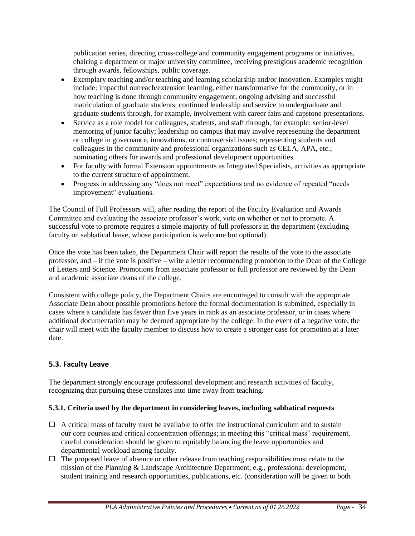publication series, directing cross-college and community engagement programs or initiatives, chairing a department or major university committee, receiving prestigious academic recognition through awards, fellowships, public coverage.

- Exemplary teaching and/or teaching and learning scholarship and/or innovation. Examples might include: impactful outreach/extension learning, either transformative for the community, or in how teaching is done through community engagement; ongoing advising and successful matriculation of graduate students; continued leadership and service to undergraduate and graduate students through, for example, involvement with career fairs and capstone presentations.
- Service as a role model for colleagues, students, and staff through, for example: senior-level mentoring of junior faculty; leadership on campus that may involve representing the department or college in governance, innovations, or controversial issues; representing students and colleagues in the community and professional organizations such as CELA, APA, etc.; nominating others for awards and professional development opportunities.
- For faculty with formal Extension appointments as Integrated Specialists, activities as appropriate to the current structure of appointment.
- Progress in addressing any "does not meet" expectations and no evidence of repeated "needs" improvement" evaluations.

The Council of Full Professors will, after reading the report of the Faculty Evaluation and Awards Committee and evaluating the associate professor's work, vote on whether or not to promote. A successful vote to promote requires a simple majority of full professors in the department (excluding faculty on sabbatical leave, whose participation is welcome but optional).

Once the vote has been taken, the Department Chair will report the results of the vote to the associate professor, and – if the vote is positive – write a letter recommending promotion to the Dean of the College of Letters and Science. Promotions from associate professor to full professor are reviewed by the Dean and academic associate deans of the college.

Consistent with college policy, the Department Chairs are encouraged to consult with the appropriate Associate Dean about possible promotions before the formal documentation is submitted, especially in cases where a candidate has fewer than five years in rank as an associate professor, or in cases where additional documentation may be deemed appropriate by the college. In the event of a negative vote, the chair will meet with the faculty member to discuss how to create a stronger case for promotion at a later date.

# **5.3. Faculty Leave**

The department strongly encourage professional development and research activities of faculty, recognizing that pursuing these translates into time away from teaching.

### **5.3.1. Criteria used by the department in considering leaves, including sabbatical requests**

- $\Box$  A critical mass of faculty must be available to offer the instructional curriculum and to sustain our core courses and critical concentration offerings; in meeting this "critical mass" requirement, careful consideration should be given to equitably balancing the leave opportunities and departmental workload among faculty.
- $\Box$  The proposed leave of absence or other release from teaching responsibilities must relate to the mission of the Planning & Landscape Architecture Department, e.g., professional development, student training and research opportunities, publications, etc. (consideration will be given to both